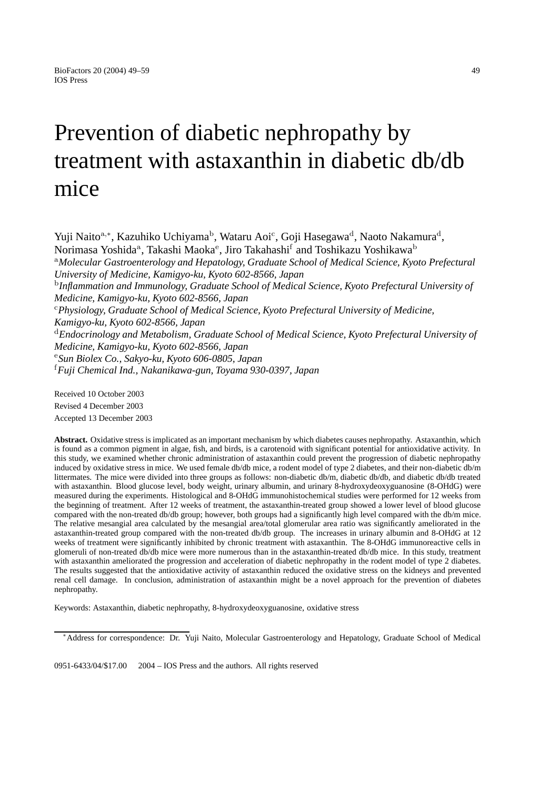# Prevention of diabetic nephropathy by treatment with astaxanthin in diabetic db/db mice

Yuji Naito<sup>a,∗</sup>, Kazuhiko Uchiyama<sup>b</sup>, Wataru Aoi<sup>c</sup>, Goji Hasegawa<sup>d</sup>, Naoto Nakamura<sup>d</sup>, Norimasa Yoshida<sup>a</sup>, Takashi Maoka<sup>e</sup>, Jiro Takahashi<sup>f</sup> and Toshikazu Yoshikawa<sup>b</sup> <sup>a</sup>*Molecular Gastroenterology and Hepatology, Graduate School of Medical Science, Kyoto Prefectural University of Medicine, Kamigyo-ku, Kyoto 602-8566, Japan* <sup>b</sup>*Inflammation and Immunology, Graduate School of Medical Science, Kyoto Prefectural University of Medicine, Kamigyo-ku, Kyoto 602-8566, Japan* <sup>c</sup>*Physiology, Graduate School of Medical Science, Kyoto Prefectural University of Medicine, Kamigyo-ku, Kyoto 602-8566, Japan* <sup>d</sup>*Endocrinology and Metabolism, Graduate School of Medical Science, Kyoto Prefectural University of Medicine, Kamigyo-ku, Kyoto 602-8566, Japan* <sup>e</sup>*Sun Biolex Co., Sakyo-ku, Kyoto 606-0805, Japan* f *Fuji Chemical Ind., Nakanikawa-gun, Toyama 930-0397, Japan*

Received 10 October 2003 Revised 4 December 2003 Accepted 13 December 2003

**Abstract.** Oxidative stress is implicated as an important mechanism by which diabetes causes nephropathy. Astaxanthin, which is found as a common pigment in algae, fish, and birds, is a carotenoid with significant potential for antioxidative activity. In this study, we examined whether chronic administration of astaxanthin could prevent the progression of diabetic nephropathy induced by oxidative stress in mice. We used female db/db mice, a rodent model of type 2 diabetes, and their non-diabetic db/m littermates. The mice were divided into three groups as follows: non-diabetic db/m, diabetic db/db, and diabetic db/db treated with astaxanthin. Blood glucose level, body weight, urinary albumin, and urinary 8-hydroxydeoxyguanosine (8-OHdG) were measured during the experiments. Histological and 8-OHdG immunohistochemical studies were performed for 12 weeks from the beginning of treatment. After 12 weeks of treatment, the astaxanthin-treated group showed a lower level of blood glucose compared with the non-treated db/db group; however, both groups had a significantly high level compared with the db/m mice. The relative mesangial area calculated by the mesangial area/total glomerular area ratio was significantly ameliorated in the astaxanthin-treated group compared with the non-treated db/db group. The increases in urinary albumin and 8-OHdG at 12 weeks of treatment were significantly inhibited by chronic treatment with astaxanthin. The 8-OHdG immunoreactive cells in glomeruli of non-treated db/db mice were more numerous than in the astaxanthin-treated db/db mice. In this study, treatment with astaxanthin ameliorated the progression and acceleration of diabetic nephropathy in the rodent model of type 2 diabetes. The results suggested that the antioxidative activity of astaxanthin reduced the oxidative stress on the kidneys and prevented renal cell damage. In conclusion, administration of astaxanthin might be a novel approach for the prevention of diabetes nephropathy.

Keywords: Astaxanthin, diabetic nephropathy, 8-hydroxydeoxyguanosine, oxidative stress

0951-6433/04/\$17.00 © 2004 - IOS Press and the authors. All rights reserved

<sup>∗</sup>Address for correspondence: Dr. Yuji Naito, Molecular Gastroenterology and Hepatology, Graduate School of Medical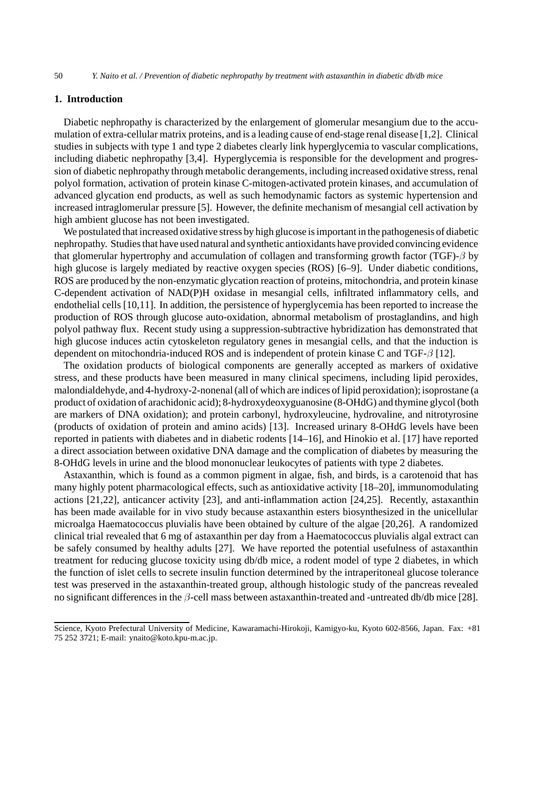# **1. Introduction**

Diabetic nephropathy is characterized by the enlargement of glomerular mesangium due to the accumulation of extra-cellular matrix proteins, and is a leading cause of end-stage renal disease [1,2]. Clinical studies in subjects with type 1 and type 2 diabetes clearly link hyperglycemia to vascular complications, including diabetic nephropathy [3,4]. Hyperglycemia is responsible for the development and progression of diabetic nephropathy through metabolic derangements, including increased oxidative stress, renal polyol formation, activation of protein kinase C-mitogen-activated protein kinases, and accumulation of advanced glycation end products, as well as such hemodynamic factors as systemic hypertension and increased intraglomerular pressure [5]. However, the definite mechanism of mesangial cell activation by high ambient glucose has not been investigated.

We postulated that increased oxidative stress by high glucose is important in the pathogenesis of diabetic nephropathy. Studies that have used natural and synthetic antioxidants have provided convincing evidence that glomerular hypertrophy and accumulation of collagen and transforming growth factor (TGF)- $\beta$  by high glucose is largely mediated by reactive oxygen species (ROS) [6–9]. Under diabetic conditions, ROS are produced by the non-enzymatic glycation reaction of proteins, mitochondria, and protein kinase C-dependent activation of NAD(P)H oxidase in mesangial cells, infiltrated inflammatory cells, and endothelial cells [10,11]. In addition, the persistence of hyperglycemia has been reported to increase the production of ROS through glucose auto-oxidation, abnormal metabolism of prostaglandins, and high polyol pathway flux. Recent study using a suppression-subtractive hybridization has demonstrated that high glucose induces actin cytoskeleton regulatory genes in mesangial cells, and that the induction is dependent on mitochondria-induced ROS and is independent of protein kinase C and TGF-β [12].

The oxidation products of biological components are generally accepted as markers of oxidative stress, and these products have been measured in many clinical specimens, including lipid peroxides, malondialdehyde, and 4-hydroxy-2-nonenal (all of which are indices of lipid peroxidation); isoprostane (a product of oxidation of arachidonic acid); 8-hydroxydeoxyguanosine (8-OHdG) and thymine glycol (both are markers of DNA oxidation); and protein carbonyl, hydroxyleucine, hydrovaline, and nitrotyrosine (products of oxidation of protein and amino acids) [13]. Increased urinary 8-OHdG levels have been reported in patients with diabetes and in diabetic rodents [14–16], and Hinokio et al. [17] have reported a direct association between oxidative DNA damage and the complication of diabetes by measuring the 8-OHdG levels in urine and the blood mononuclear leukocytes of patients with type 2 diabetes.

Astaxanthin, which is found as a common pigment in algae, fish, and birds, is a carotenoid that has many highly potent pharmacological effects, such as antioxidative activity [18–20], immunomodulating actions [21,22], anticancer activity [23], and anti-inflammation action [24,25]. Recently, astaxanthin has been made available for in vivo study because astaxanthin esters biosynthesized in the unicellular microalga Haematococcus pluvialis have been obtained by culture of the algae [20,26]. A randomized clinical trial revealed that 6 mg of astaxanthin per day from a Haematococcus pluvialis algal extract can be safely consumed by healthy adults [27]. We have reported the potential usefulness of astaxanthin treatment for reducing glucose toxicity using db/db mice, a rodent model of type 2 diabetes, in which the function of islet cells to secrete insulin function determined by the intraperitoneal glucose tolerance test was preserved in the astaxanthin-treated group, although histologic study of the pancreas revealed no significant differences in the β-cell mass between astaxanthin-treated and -untreated db/db mice [28].

Science, Kyoto Prefectural University of Medicine, Kawaramachi-Hirokoji, Kamigyo-ku, Kyoto 602-8566, Japan. Fax: +81 75 252 3721; E-mail: ynaito@koto.kpu-m.ac.jp.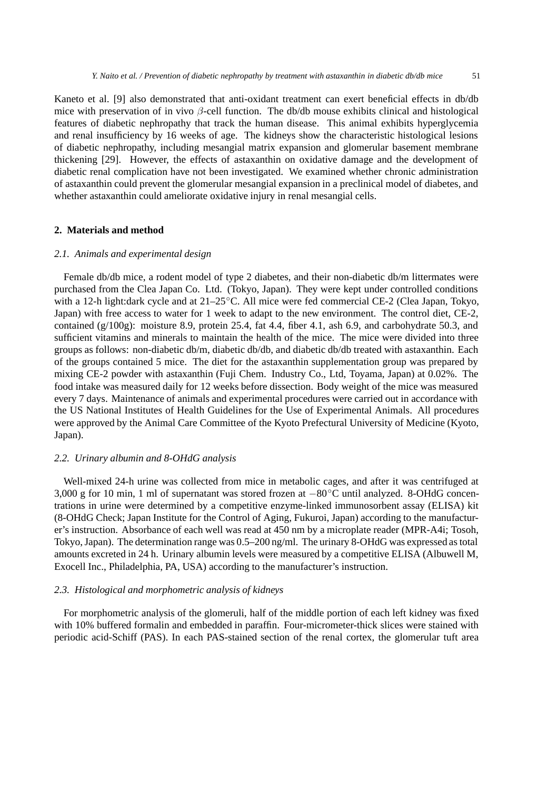Kaneto et al. [9] also demonstrated that anti-oxidant treatment can exert beneficial effects in db/db mice with preservation of in vivo  $\beta$ -cell function. The db/db mouse exhibits clinical and histological features of diabetic nephropathy that track the human disease. This animal exhibits hyperglycemia and renal insufficiency by 16 weeks of age. The kidneys show the characteristic histological lesions of diabetic nephropathy, including mesangial matrix expansion and glomerular basement membrane thickening [29]. However, the effects of astaxanthin on oxidative damage and the development of diabetic renal complication have not been investigated. We examined whether chronic administration of astaxanthin could prevent the glomerular mesangial expansion in a preclinical model of diabetes, and whether astaxanthin could ameliorate oxidative injury in renal mesangial cells.

# **2. Materials and method**

## *2.1. Animals and experimental design*

Female db/db mice, a rodent model of type 2 diabetes, and their non-diabetic db/m littermates were purchased from the Clea Japan Co. Ltd. (Tokyo, Japan). They were kept under controlled conditions with a 12-h light:dark cycle and at 21–25◦C. All mice were fed commercial CE-2 (Clea Japan, Tokyo, Japan) with free access to water for 1 week to adapt to the new environment. The control diet, CE-2, contained  $(g/100g)$ : moisture 8.9, protein 25.4, fat 4.4, fiber 4.1, ash 6.9, and carbohydrate 50.3, and sufficient vitamins and minerals to maintain the health of the mice. The mice were divided into three groups as follows: non-diabetic db/m, diabetic db/db, and diabetic db/db treated with astaxanthin. Each of the groups contained 5 mice. The diet for the astaxanthin supplementation group was prepared by mixing CE-2 powder with astaxanthin (Fuji Chem. Industry Co., Ltd, Toyama, Japan) at 0.02%. The food intake was measured daily for 12 weeks before dissection. Body weight of the mice was measured every 7 days. Maintenance of animals and experimental procedures were carried out in accordance with the US National Institutes of Health Guidelines for the Use of Experimental Animals. All procedures were approved by the Animal Care Committee of the Kyoto Prefectural University of Medicine (Kyoto, Japan).

# *2.2. Urinary albumin and 8-OHdG analysis*

Well-mixed 24-h urine was collected from mice in metabolic cages, and after it was centrifuged at 3,000 g for 10 min, 1 ml of supernatant was stored frozen at *−*80◦C until analyzed. 8-OHdG concentrations in urine were determined by a competitive enzyme-linked immunosorbent assay (ELISA) kit (8-OHdG Check; Japan Institute for the Control of Aging, Fukuroi, Japan) according to the manufacturer's instruction. Absorbance of each well was read at 450 nm by a microplate reader (MPR-A4i; Tosoh, Tokyo, Japan). The determination range was 0.5–200 ng/ml. The urinary 8-OHdG was expressed as total amounts excreted in 24 h. Urinary albumin levels were measured by a competitive ELISA (Albuwell M, Exocell Inc., Philadelphia, PA, USA) according to the manufacturer's instruction.

# *2.3. Histological and morphometric analysis of kidneys*

For morphometric analysis of the glomeruli, half of the middle portion of each left kidney was fixed with 10% buffered formalin and embedded in paraffin. Four-micrometer-thick slices were stained with periodic acid-Schiff (PAS). In each PAS-stained section of the renal cortex, the glomerular tuft area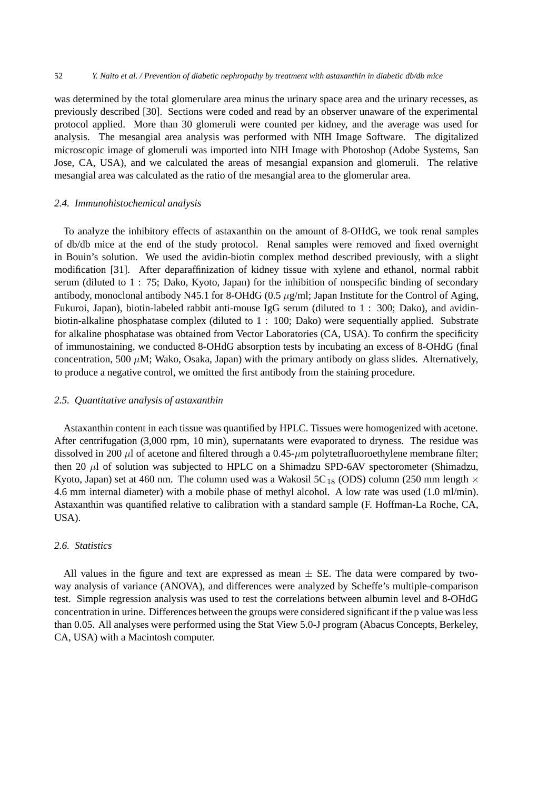#### 52 *Y. Naito et al. / Prevention of diabetic nephropathy by treatment with astaxanthin in diabetic db/db mice*

was determined by the total glomerulare area minus the urinary space area and the urinary recesses, as previously described [30]. Sections were coded and read by an observer unaware of the experimental protocol applied. More than 30 glomeruli were counted per kidney, and the average was used for analysis. The mesangial area analysis was performed with NIH Image Software. The digitalized microscopic image of glomeruli was imported into NIH Image with Photoshop (Adobe Systems, San Jose, CA, USA), and we calculated the areas of mesangial expansion and glomeruli. The relative mesangial area was calculated as the ratio of the mesangial area to the glomerular area.

#### *2.4. Immunohistochemical analysis*

To analyze the inhibitory effects of astaxanthin on the amount of 8-OHdG, we took renal samples of db/db mice at the end of the study protocol. Renal samples were removed and fixed overnight in Bouin's solution. We used the avidin-biotin complex method described previously, with a slight modification [31]. After deparaffinization of kidney tissue with xylene and ethanol, normal rabbit serum (diluted to 1 : 75; Dako, Kyoto, Japan) for the inhibition of nonspecific binding of secondary antibody, monoclonal antibody N45.1 for 8-OHdG (0.5  $\mu$ g/ml; Japan Institute for the Control of Aging, Fukuroi, Japan), biotin-labeled rabbit anti-mouse IgG serum (diluted to 1 : 300; Dako), and avidinbiotin-alkaline phosphatase complex (diluted to 1 : 100; Dako) were sequentially applied. Substrate for alkaline phosphatase was obtained from Vector Laboratories (CA, USA). To confirm the specificity of immunostaining, we conducted 8-OHdG absorption tests by incubating an excess of 8-OHdG (final concentration, 500  $\mu$ M; Wako, Osaka, Japan) with the primary antibody on glass slides. Alternatively, to produce a negative control, we omitted the first antibody from the staining procedure.

# *2.5. Quantitative analysis of astaxanthin*

Astaxanthin content in each tissue was quantified by HPLC. Tissues were homogenized with acetone. After centrifugation (3,000 rpm, 10 min), supernatants were evaporated to dryness. The residue was dissolved in 200  $\mu$ l of acetone and filtered through a 0.45- $\mu$ m polytetrafluoroethylene membrane filter; then 20  $\mu$ l of solution was subjected to HPLC on a Shimadzu SPD-6AV spectorometer (Shimadzu, Kyoto, Japan) set at 460 nm. The column used was a Wakosil 5C<sub>18</sub> (ODS) column (250 mm length  $\times$ 4.6 mm internal diameter) with a mobile phase of methyl alcohol. A low rate was used (1.0 ml/min). Astaxanthin was quantified relative to calibration with a standard sample (F. Hoffman-La Roche, CA, USA).

# *2.6. Statistics*

All values in the figure and text are expressed as mean  $\pm$  SE. The data were compared by twoway analysis of variance (ANOVA), and differences were analyzed by Scheffe's multiple-comparison test. Simple regression analysis was used to test the correlations between albumin level and 8-OHdG concentration in urine. Differences between the groups were considered significant if the p value was less than 0.05. All analyses were performed using the Stat View 5.0-J program (Abacus Concepts, Berkeley, CA, USA) with a Macintosh computer.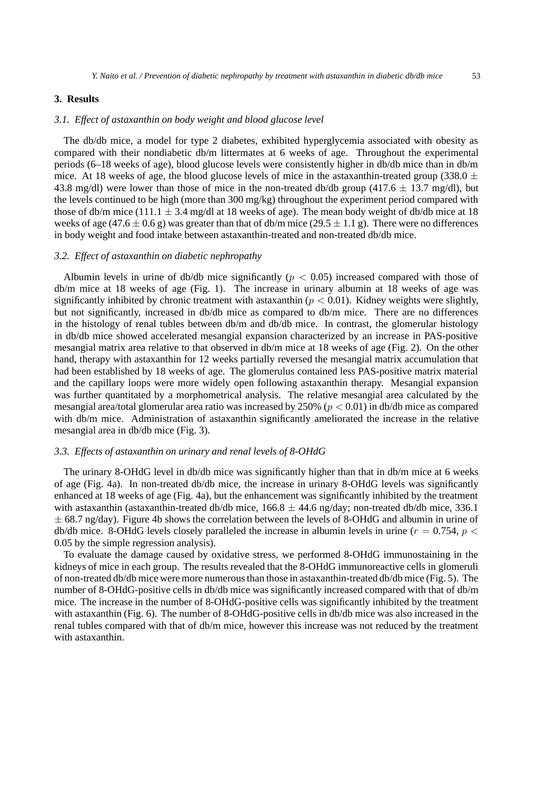# **3. Results**

# *3.1. Effect of astaxanthin on body weight and blood glucose level*

The db/db mice, a model for type 2 diabetes, exhibited hyperglycemia associated with obesity as compared with their nondiabetic db/m littermates at 6 weeks of age. Throughout the experimental periods (6–18 weeks of age), blood glucose levels were consistently higher in db/db mice than in db/m mice. At 18 weeks of age, the blood glucose levels of mice in the astaxanthin-treated group (338.0  $\pm$ 43.8 mg/dl) were lower than those of mice in the non-treated db/db group (417.6 *±* 13.7 mg/dl), but the levels continued to be high (more than 300 mg/kg) throughout the experiment period compared with those of db/m mice (111.1  $\pm$  3.4 mg/dl at 18 weeks of age). The mean body weight of db/db mice at 18 weeks of age (47.6  $\pm$  0.6 g) was greater than that of db/m mice (29.5  $\pm$  1.1 g). There were no differences in body weight and food intake between astaxanthin-treated and non-treated db/db mice.

#### *3.2. Effect of astaxanthin on diabetic nephropathy*

Albumin levels in urine of db/db mice significantly ( $p < 0.05$ ) increased compared with those of db/m mice at 18 weeks of age (Fig. 1). The increase in urinary albumin at 18 weeks of age was significantly inhibited by chronic treatment with astaxanthin ( $p < 0.01$ ). Kidney weights were slightly, but not significantly, increased in db/db mice as compared to db/m mice. There are no differences in the histology of renal tubles between db/m and db/db mice. In contrast, the glomerular histology in db/db mice showed accelerated mesangial expansion characterized by an increase in PAS-positive mesangial matrix area relative to that observed in db/m mice at 18 weeks of age (Fig. 2). On the other hand, therapy with astaxanthin for 12 weeks partially reversed the mesangial matrix accumulation that had been established by 18 weeks of age. The glomerulus contained less PAS-positive matrix material and the capillary loops were more widely open following astaxanthin therapy. Mesangial expansion was further quantitated by a morphometrical analysis. The relative mesangial area calculated by the mesangial area/total glomerular area ratio was increased by  $250\%$  ( $p < 0.01$ ) in db/db mice as compared with db/m mice. Administration of astaxanthin significantly ameliorated the increase in the relative mesangial area in db/db mice (Fig. 3).

#### *3.3. Effects of astaxanthin on urinary and renal levels of 8-OHdG*

The urinary 8-OHdG level in db/db mice was significantly higher than that in db/m mice at 6 weeks of age (Fig. 4a). In non-treated db/db mice, the increase in urinary 8-OHdG levels was significantly enhanced at 18 weeks of age (Fig. 4a), but the enhancement was significantly inhibited by the treatment with astaxanthin (astaxanthin-treated db/db mice, 166.8 *±* 44.6 ng/day; non-treated db/db mice, 336.1 *±* 68.7 ng/day). Figure 4b shows the correlation between the levels of 8-OHdG and albumin in urine of db/db mice. 8-OHdG levels closely paralleled the increase in albumin levels in urine ( $r = 0.754$ ,  $p <$ 0.05 by the simple regression analysis).

To evaluate the damage caused by oxidative stress, we performed 8-OHdG immunostaining in the kidneys of mice in each group. The results revealed that the 8-OHdG immunoreactive cells in glomeruli of non-treated db/db mice were more numerous than those in astaxanthin-treated db/db mice (Fig. 5). The number of 8-OHdG-positive cells in db/db mice was significantly increased compared with that of db/m mice. The increase in the number of 8-OHdG-positive cells was significantly inhibited by the treatment with astaxanthin (Fig. 6). The number of 8-OHdG-positive cells in db/db mice was also increased in the renal tubles compared with that of db/m mice, however this increase was not reduced by the treatment with astaxanthin.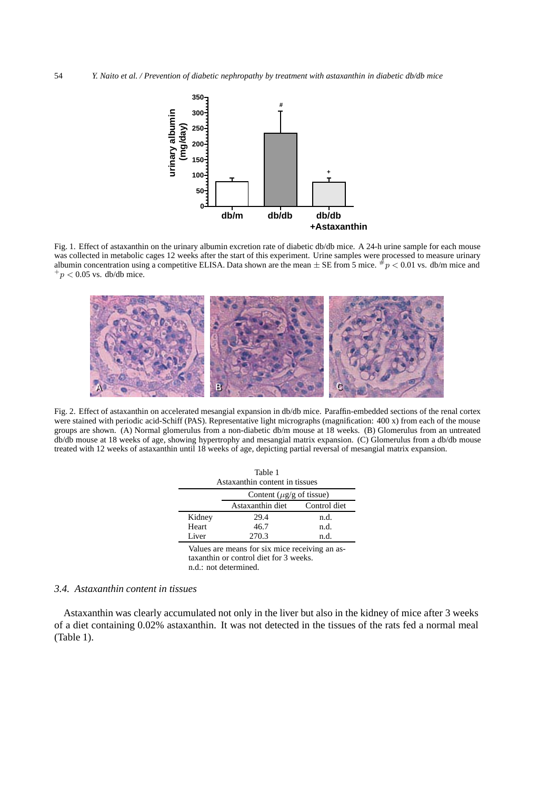

Fig. 1. Effect of astaxanthin on the urinary albumin excretion rate of diabetic db/db mice. A 24-h urine sample for each mouse was collected in metabolic cages 12 weeks after the start of this experiment. Urine samples were processed to measure urinary albumin concentration using a competitive ELISA. Data shown are the mean  $\pm$  SE from 5 mice.  $\#p$  < 0.01 vs. db/m mice and  $^{+}p$  < 0.05 vs. db/db mice.



Fig. 2. Effect of astaxanthin on accelerated mesangial expansion in db/db mice. Paraffin-embedded sections of the renal cortex were stained with periodic acid-Schiff (PAS). Representative light micrographs (magnification: 400 x) from each of the mouse groups are shown. (A) Normal glomerulus from a non-diabetic db/m mouse at 18 weeks. (B) Glomerulus from an untreated db/db mouse at 18 weeks of age, showing hypertrophy and mesangial matrix expansion. (C) Glomerulus from a db/db mouse treated with 12 weeks of astaxanthin until 18 weeks of age, depicting partial reversal of mesangial matrix expansion.

| Table 1<br>Astaxanthin content in tissues |                                |              |
|-------------------------------------------|--------------------------------|--------------|
|                                           | Content ( $\mu$ g/g of tissue) |              |
|                                           | Astaxanthin diet               | Control diet |
| Kidney                                    | 29.4                           | n.d.         |
| Heart                                     | 46.7                           | n.d.         |
| Liver                                     | 270.3                          | n d-         |
|                                           |                                |              |

Values are means for six mice receiving an astaxanthin or control diet for 3 weeks. n.d.: not determined.

# *3.4. Astaxanthin content in tissues*

Astaxanthin was clearly accumulated not only in the liver but also in the kidney of mice after 3 weeks of a diet containing 0.02% astaxanthin. It was not detected in the tissues of the rats fed a normal meal (Table 1).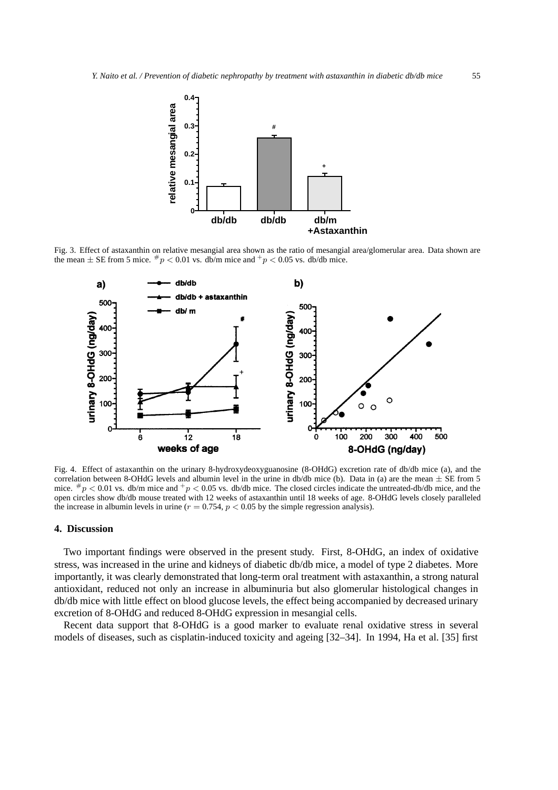

Fig. 3. Effect of astaxanthin on relative mesangial area shown as the ratio of mesangial area/glomerular area. Data shown are the mean  $\pm$  SE from 5 mice.  $\frac{p}{p}$  < 0.01 vs. db/m mice and  $\frac{p}{p}$  < 0.05 vs. db/db mice.



Fig. 4. Effect of astaxanthin on the urinary 8-hydroxydeoxyguanosine (8-OHdG) excretion rate of db/db mice (a), and the correlation between 8-OHdG levels and albumin level in the urine in db/db mice (b). Data in (a) are the mean  $\pm$  SE from 5 mice.  $\#p < 0.01$  vs. db/m mice and  $\#p < 0.05$  vs. db/db mice. The closed circles indicate the untreated-db/db mice, and the open circles show db/db mouse treated with 12 weeks of astaxanthin until 18 weeks of age. 8-OHdG levels closely paralleled the increase in albumin levels in urine  $(r = 0.754, p < 0.05$  by the simple regression analysis).

# **4. Discussion**

Two important findings were observed in the present study. First, 8-OHdG, an index of oxidative stress, was increased in the urine and kidneys of diabetic db/db mice, a model of type 2 diabetes. More importantly, it was clearly demonstrated that long-term oral treatment with astaxanthin, a strong natural antioxidant, reduced not only an increase in albuminuria but also glomerular histological changes in db/db mice with little effect on blood glucose levels, the effect being accompanied by decreased urinary excretion of 8-OHdG and reduced 8-OHdG expression in mesangial cells.

Recent data support that 8-OHdG is a good marker to evaluate renal oxidative stress in several models of diseases, such as cisplatin-induced toxicity and ageing [32–34]. In 1994, Ha et al. [35] first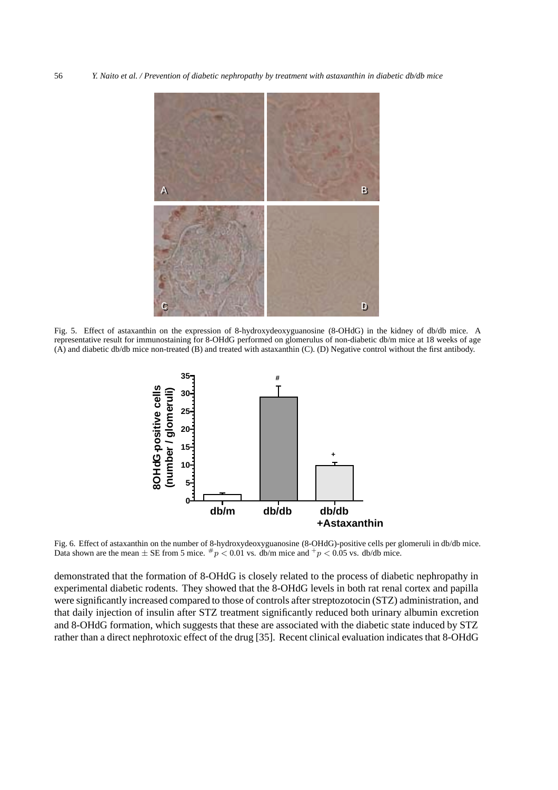56 *Y. Naito et al. / Prevention of diabetic nephropathy by treatment with astaxanthin in diabetic db/db mice*



Fig. 5. Effect of astaxanthin on the expression of 8-hydroxydeoxyguanosine (8-OHdG) in the kidney of db/db mice. A representative result for immunostaining for 8-OHdG performed on glomerulus of non-diabetic db/m mice at 18 weeks of age (A) and diabetic db/db mice non-treated (B) and treated with astaxanthin (C). (D) Negative control without the first antibody.



Fig. 6. Effect of astaxanthin on the number of 8-hydroxydeoxyguanosine (8-OHdG)-positive cells per glomeruli in db/db mice. Data shown are the mean  $\pm$  SE from 5 mice.  $\#p < 0.01$  vs. db/m mice and  $\#p < 0.05$  vs. db/db mice.

demonstrated that the formation of 8-OHdG is closely related to the process of diabetic nephropathy in experimental diabetic rodents. They showed that the 8-OHdG levels in both rat renal cortex and papilla were significantly increased compared to those of controls after streptozotocin (STZ) administration, and that daily injection of insulin after STZ treatment significantly reduced both urinary albumin excretion and 8-OHdG formation, which suggests that these are associated with the diabetic state induced by STZ rather than a direct nephrotoxic effect of the drug [35]. Recent clinical evaluation indicates that 8-OHdG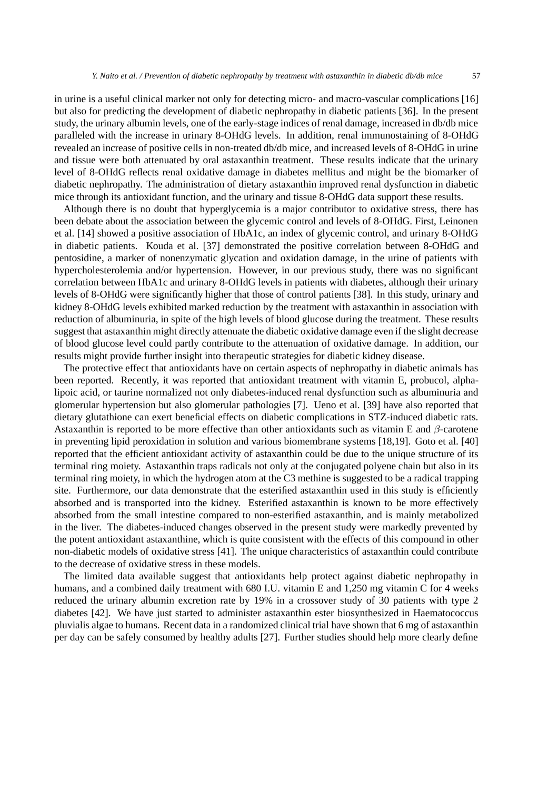in urine is a useful clinical marker not only for detecting micro- and macro-vascular complications [16] but also for predicting the development of diabetic nephropathy in diabetic patients [36]. In the present study, the urinary albumin levels, one of the early-stage indices of renal damage, increased in db/db mice paralleled with the increase in urinary 8-OHdG levels. In addition, renal immunostaining of 8-OHdG revealed an increase of positive cells in non-treated db/db mice, and increased levels of 8-OHdG in urine and tissue were both attenuated by oral astaxanthin treatment. These results indicate that the urinary level of 8-OHdG reflects renal oxidative damage in diabetes mellitus and might be the biomarker of diabetic nephropathy. The administration of dietary astaxanthin improved renal dysfunction in diabetic mice through its antioxidant function, and the urinary and tissue 8-OHdG data support these results.

Although there is no doubt that hyperglycemia is a major contributor to oxidative stress, there has been debate about the association between the glycemic control and levels of 8-OHdG. First, Leinonen et al. [14] showed a positive association of HbA1c, an index of glycemic control, and urinary 8-OHdG in diabetic patients. Kouda et al. [37] demonstrated the positive correlation between 8-OHdG and pentosidine, a marker of nonenzymatic glycation and oxidation damage, in the urine of patients with hypercholesterolemia and/or hypertension. However, in our previous study, there was no significant correlation between HbA1c and urinary 8-OHdG levels in patients with diabetes, although their urinary levels of 8-OHdG were significantly higher that those of control patients [38]. In this study, urinary and kidney 8-OHdG levels exhibited marked reduction by the treatment with astaxanthin in association with reduction of albuminuria, in spite of the high levels of blood glucose during the treatment. These results suggest that astaxanthin might directly attenuate the diabetic oxidative damage even if the slight decrease of blood glucose level could partly contribute to the attenuation of oxidative damage. In addition, our results might provide further insight into therapeutic strategies for diabetic kidney disease.

The protective effect that antioxidants have on certain aspects of nephropathy in diabetic animals has been reported. Recently, it was reported that antioxidant treatment with vitamin E, probucol, alphalipoic acid, or taurine normalized not only diabetes-induced renal dysfunction such as albuminuria and glomerular hypertension but also glomerular pathologies [7]. Ueno et al. [39] have also reported that dietary glutathione can exert beneficial effects on diabetic complications in STZ-induced diabetic rats. Astaxanthin is reported to be more effective than other antioxidants such as vitamin E and  $\beta$ -carotene in preventing lipid peroxidation in solution and various biomembrane systems [18,19]. Goto et al. [40] reported that the efficient antioxidant activity of astaxanthin could be due to the unique structure of its terminal ring moiety. Astaxanthin traps radicals not only at the conjugated polyene chain but also in its terminal ring moiety, in which the hydrogen atom at the C3 methine is suggested to be a radical trapping site. Furthermore, our data demonstrate that the esterified astaxanthin used in this study is efficiently absorbed and is transported into the kidney. Esterified astaxanthin is known to be more effectively absorbed from the small intestine compared to non-esterified astaxanthin, and is mainly metabolized in the liver. The diabetes-induced changes observed in the present study were markedly prevented by the potent antioxidant astaxanthine, which is quite consistent with the effects of this compound in other non-diabetic models of oxidative stress [41]. The unique characteristics of astaxanthin could contribute to the decrease of oxidative stress in these models.

The limited data available suggest that antioxidants help protect against diabetic nephropathy in humans, and a combined daily treatment with 680 I.U. vitamin E and 1,250 mg vitamin C for 4 weeks reduced the urinary albumin excretion rate by 19% in a crossover study of 30 patients with type 2 diabetes [42]. We have just started to administer astaxanthin ester biosynthesized in Haematococcus pluvialis algae to humans. Recent data in a randomized clinical trial have shown that 6 mg of astaxanthin per day can be safely consumed by healthy adults [27]. Further studies should help more clearly define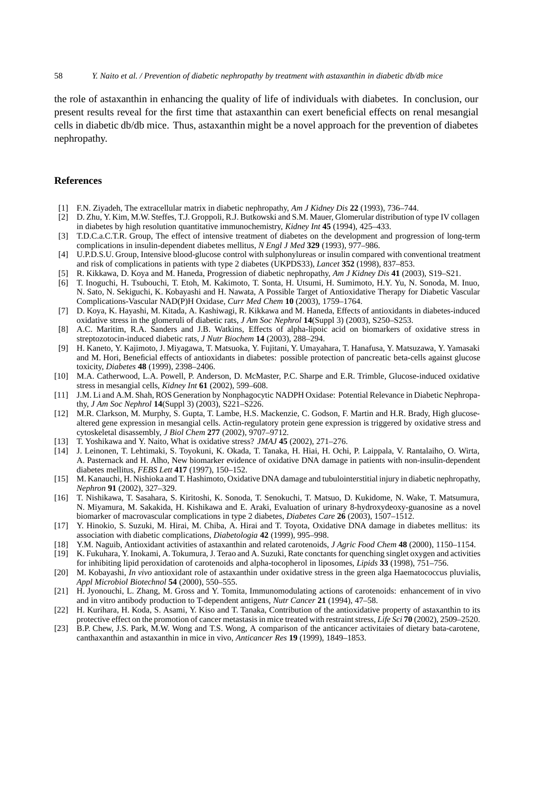the role of astaxanthin in enhancing the quality of life of individuals with diabetes. In conclusion, our present results reveal for the first time that astaxanthin can exert beneficial effects on renal mesangial cells in diabetic db/db mice. Thus, astaxanthin might be a novel approach for the prevention of diabetes nephropathy.

# **References**

- [1] F.N. Ziyadeh, The extracellular matrix in diabetic nephropathy, *Am J Kidney Dis* **22** (1993), 736–744.
- [2] D. Zhu, Y. Kim, M.W. Steffes, T.J. Groppoli, R.J. Butkowski and S.M. Mauer, Glomerular distribution of type IV collagen in diabetes by high resolution quantitative immunochemistry, *Kidney Int* **45** (1994), 425–433.
- [3] T.D.C.a.C.T.R. Group, The effect of intensive treatment of diabetes on the development and progression of long-term complications in insulin-dependent diabetes mellitus, *N Engl J Med* **329** (1993), 977–986.
- [4] U.P.D.S.U. Group, Intensive blood-glucose control with sulphonylureas or insulin compared with conventional treatment and risk of complications in patients with type 2 diabetes (UKPDS33), *Lancet* **352** (1998), 837–853.
- [5] R. Kikkawa, D. Koya and M. Haneda, Progression of diabetic nephropathy, *Am J Kidney Dis* **41** (2003), S19–S21.
- [6] T. Inoguchi, H. Tsubouchi, T. Etoh, M. Kakimoto, T. Sonta, H. Utsumi, H. Sumimoto, H.Y. Yu, N. Sonoda, M. Inuo, N. Sato, N. Sekiguchi, K. Kobayashi and H. Nawata, A Possible Target of Antioxidative Therapy for Diabetic Vascular Complications-Vascular NAD(P)H Oxidase, *Curr Med Chem* **10** (2003), 1759–1764.
- [7] D. Koya, K. Hayashi, M. Kitada, A. Kashiwagi, R. Kikkawa and M. Haneda, Effects of antioxidants in diabetes-induced oxidative stress in the glomeruli of diabetic rats, *J Am Soc Nephrol* **14**(Suppl 3) (2003), S250–S253.
- [8] A.C. Maritim, R.A. Sanders and J.B. Watkins, Effects of alpha-lipoic acid on biomarkers of oxidative stress in streptozotocin-induced diabetic rats, *J Nutr Biochem* **14** (2003), 288–294.
- [9] H. Kaneto, Y. Kajimoto, J. Miyagawa, T. Matsuoka, Y. Fujitani, Y. Umayahara, T. Hanafusa, Y. Matsuzawa, Y. Yamasaki and M. Hori, Beneficial effects of antioxidants in diabetes: possible protection of pancreatic beta-cells against glucose toxicity, *Diabetes* **48** (1999), 2398–2406.
- [10] M.A. Catherwood, L.A. Powell, P. Anderson, D. McMaster, P.C. Sharpe and E.R. Trimble, Glucose-induced oxidative stress in mesangial cells, *Kidney Int* **61** (2002), 599–608.
- [11] J.M. Li and A.M. Shah, ROS Generation by Nonphagocytic NADPH Oxidase: Potential Relevance in Diabetic Nephropathy, *J Am Soc Nephrol* **14**(Suppl 3) (2003), S221–S226.
- [12] M.R. Clarkson, M. Murphy, S. Gupta, T. Lambe, H.S. Mackenzie, C. Godson, F. Martin and H.R. Brady, High glucosealtered gene expression in mesangial cells. Actin-regulatory protein gene expression is triggered by oxidative stress and cytoskeletal disassembly, *J Biol Chem* **277** (2002), 9707–9712.
- [13] T. Yoshikawa and Y. Naito, What is oxidative stress? *JMAJ* **45** (2002), 271–276.
- [14] J. Leinonen, T. Lehtimaki, S. Toyokuni, K. Okada, T. Tanaka, H. Hiai, H. Ochi, P. Laippala, V. Rantalaiho, O. Wirta, A. Pasternack and H. Alho, New biomarker evidence of oxidative DNA damage in patients with non-insulin-dependent diabetes mellitus, *FEBS Lett* **417** (1997), 150–152.
- [15] M. Kanauchi, H. Nishioka and T. Hashimoto, Oxidative DNA damage and tubulointerstitial injury in diabetic nephropathy, *Nephron* **91** (2002), 327–329.
- [16] T. Nishikawa, T. Sasahara, S. Kiritoshi, K. Sonoda, T. Senokuchi, T. Matsuo, D. Kukidome, N. Wake, T. Matsumura, N. Miyamura, M. Sakakida, H. Kishikawa and E. Araki, Evaluation of urinary 8-hydroxydeoxy-guanosine as a novel biomarker of macrovascular complications in type 2 diabetes, *Diabetes Care* **26** (2003), 1507–1512.
- [17] Y. Hinokio, S. Suzuki, M. Hirai, M. Chiba, A. Hirai and T. Toyota, Oxidative DNA damage in diabetes mellitus: its association with diabetic complications, *Diabetologia* **42** (1999), 995–998.
- [18] Y.M. Naguib, Antioxidant activities of astaxanthin and related carotenoids, *J Agric Food Chem* **48** (2000), 1150–1154.
- [19] K. Fukuhara, Y. Inokami, A. Tokumura, J. Terao and A. Suzuki, Rate conctants for quenching singlet oxygen and activities for inhibiting lipid peroxidation of carotenoids and alpha-tocopherol in liposomes, *Lipids* **33** (1998), 751–756.
- [20] M. Kobayashi, *In vivo* antioxidant role of astaxanthin under oxidative stress in the green alga Haematococcus pluvialis, *Appl Microbiol Biotechnol* **54** (2000), 550–555.
- [21] H. Jyonouchi, L. Zhang, M. Gross and Y. Tomita, Immunomodulating actions of carotenoids: enhancement of in vivo and in vitro antibody production to T-dependent antigens, *Nutr Cancer* **21** (1994), 47–58.
- [22] H. Kurihara, H. Koda, S. Asami, Y. Kiso and T. Tanaka, Contribution of the antioxidative property of astaxanthin to its protective effect on the promotion of cancer metastasis in mice treated with restraint stress, *Life Sci* **70** (2002), 2509–2520.
- [23] B.P. Chew, J.S. Park, M.W. Wong and T.S. Wong, A comparison of the anticancer activitaies of dietary bata-carotene, canthaxanthin and astaxanthin in mice in vivo, *Anticancer Res* **19** (1999), 1849–1853.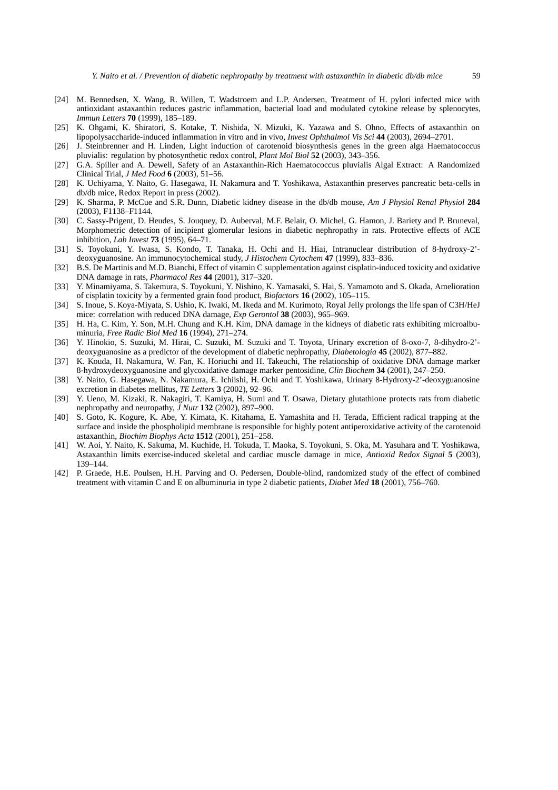- [24] M. Bennedsen, X. Wang, R. Willen, T. Wadstroem and L.P. Andersen, Treatment of H. pylori infected mice with antioxidant astaxanthin reduces gastric inflammation, bacterial load and modulated cytokine release by splenocytes, *Immun Letters* **70** (1999), 185–189.
- [25] K. Ohgami, K. Shiratori, S. Kotake, T. Nishida, N. Mizuki, K. Yazawa and S. Ohno, Effects of astaxanthin on lipopolysaccharide-induced inflammation in vitro and in vivo, *Invest Ophthalmol Vis Sci* **44** (2003), 2694–2701.
- [26] J. Steinbrenner and H. Linden, Light induction of carotenoid biosynthesis genes in the green alga Haematococcus pluvialis: regulation by photosynthetic redox control, *Plant Mol Biol* **52** (2003), 343–356.
- [27] G.A. Spiller and A. Dewell, Safety of an Astaxanthin-Rich Haematococcus pluvialis Algal Extract: A Randomized Clinical Trial, *J Med Food* **6** (2003), 51–56.
- [28] K. Uchiyama, Y. Naito, G. Hasegawa, H. Nakamura and T. Yoshikawa, Astaxanthin preserves pancreatic beta-cells in db/db mice, Redox Report in press (2002).
- [29] K. Sharma, P. McCue and S.R. Dunn, Diabetic kidney disease in the db/db mouse, *Am J Physiol Renal Physiol* **284** (2003), F1138–F1144.
- [30] C. Sassy-Prigent, D. Heudes, S. Jouquey, D. Auberval, M.F. Belair, O. Michel, G. Hamon, J. Bariety and P. Bruneval, Morphometric detection of incipient glomerular lesions in diabetic nephropathy in rats. Protective effects of ACE inhibition, *Lab Invest* **73** (1995), 64–71.
- [31] S. Toyokuni, Y. Iwasa, S. Kondo, T. Tanaka, H. Ochi and H. Hiai, Intranuclear distribution of 8-hydroxy-2' deoxyguanosine. An immunocytochemical study, *J Histochem Cytochem* **47** (1999), 833–836.
- [32] B.S. De Martinis and M.D. Bianchi, Effect of vitamin C supplementation against cisplatin-induced toxicity and oxidative DNA damage in rats, *Pharmacol Res* **44** (2001), 317–320.
- [33] Y. Minamiyama, S. Takemura, S. Toyokuni, Y. Nishino, K. Yamasaki, S. Hai, S. Yamamoto and S. Okada, Amelioration of cisplatin toxicity by a fermented grain food product, *Biofactors* **16** (2002), 105–115.
- [34] S. Inoue, S. Koya-Miyata, S. Ushio, K. Iwaki, M. Ikeda and M. Kurimoto, Royal Jelly prolongs the life span of C3H/HeJ mice: correlation with reduced DNA damage, *Exp Gerontol* **38** (2003), 965–969.
- [35] H. Ha, C. Kim, Y. Son, M.H. Chung and K.H. Kim, DNA damage in the kidneys of diabetic rats exhibiting microalbuminuria, *Free Radic Biol Med* **16** (1994), 271–274.
- [36] Y. Hinokio, S. Suzuki, M. Hirai, C. Suzuki, M. Suzuki and T. Toyota, Urinary excretion of 8-oxo-7, 8-dihydro-2' deoxyguanosine as a predictor of the development of diabetic nephropathy, *Diabetologia* **45** (2002), 877–882.
- [37] K. Kouda, H. Nakamura, W. Fan, K. Horiuchi and H. Takeuchi, The relationship of oxidative DNA damage marker 8-hydroxydeoxyguanosine and glycoxidative damage marker pentosidine, *Clin Biochem* **34** (2001), 247–250.
- [38] Y. Naito, G. Hasegawa, N. Nakamura, E. Ichiishi, H. Ochi and T. Yoshikawa, Urinary 8-Hydroxy-2'-deoxyguanosine excretion in diabetes mellitus, *TE Letters* **3** (2002), 92–96.
- [39] Y. Ueno, M. Kizaki, R. Nakagiri, T. Kamiya, H. Sumi and T. Osawa, Dietary glutathione protects rats from diabetic nephropathy and neuropathy, *J Nutr* **132** (2002), 897–900.
- [40] S. Goto, K. Kogure, K. Abe, Y. Kimata, K. Kitahama, E. Yamashita and H. Terada, Efficient radical trapping at the surface and inside the phospholipid membrane is responsible for highly potent antiperoxidative activity of the carotenoid astaxanthin, *Biochim Biophys Acta* **1512** (2001), 251–258.
- [41] W. Aoi, Y. Naito, K. Sakuma, M. Kuchide, H. Tokuda, T. Maoka, S. Toyokuni, S. Oka, M. Yasuhara and T. Yoshikawa, Astaxanthin limits exercise-induced skeletal and cardiac muscle damage in mice, *Antioxid Redox Signal* **5** (2003), 139–144.
- [42] P. Graede, H.E. Poulsen, H.H. Parving and O. Pedersen, Double-blind, randomized study of the effect of combined treatment with vitamin C and E on albuminuria in type 2 diabetic patients, *Diabet Med* **18** (2001), 756–760.